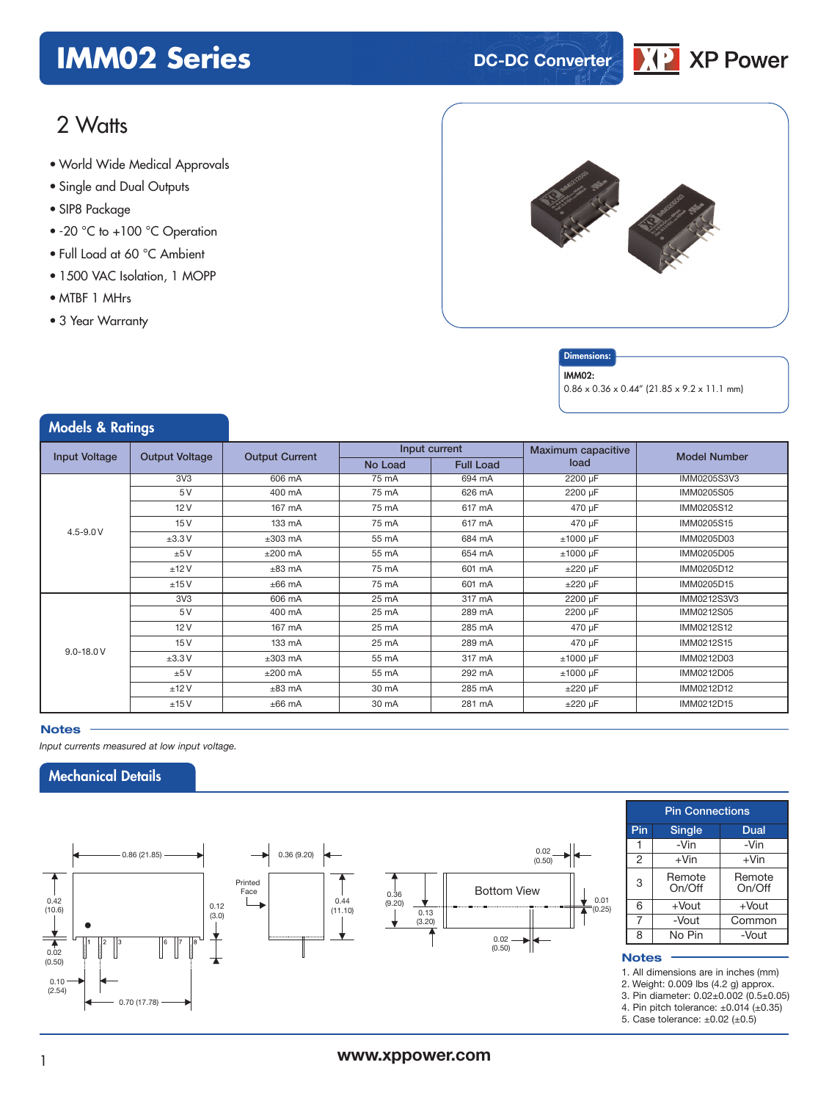## **IMM02 Series DC-DC** Converter



### 2 Watts

- World Wide Medical Approvals
- Single and Dual Outputs
- SIP8 Package
- -20 °C to +100 °C Operation
- Full Load at 60 °C Ambient
- 1500 VAC Isolation, 1 MOPP
- MTBF 1 MHrs
- 3 Year Warranty

Models & Ratings



### **Dimensions**

#### IMM02:

0.86 x 0.36 x 0.44" (21.85 x 9.2 x 11.1 mm)

| <b><i>INIOGEIS</i></b> & Karings |                       |                       |         |                  |                    |                     |
|----------------------------------|-----------------------|-----------------------|---------|------------------|--------------------|---------------------|
| <b>Input Voltage</b>             | <b>Output Voltage</b> | <b>Output Current</b> |         | Input current    | Maximum capacitive | <b>Model Number</b> |
|                                  |                       |                       | No Load | <b>Full Load</b> | load               |                     |
|                                  | 3V <sub>3</sub>       | 606 mA                | 75 mA   | 694 mA           | 2200 µF            | IMM0205S3V3         |
|                                  | 5V                    | 400 mA                | 75 mA   | 626 mA           | 2200 µF            | IMM0205S05          |
|                                  | 12V                   | 167 mA                | 75 mA   | 617 mA           | 470 µF             | IMM0205S12          |
|                                  | 15V                   | 133 mA                | 75 mA   | 617 mA           | 470 µF             | IMM0205S15          |
| $4.5 - 9.0 V$                    | ±3.3V                 | $±303$ mA             | 55 mA   | 684 mA           | $±1000$ µF         | IMM0205D03          |
|                                  | ±5V                   | $±200$ mA             | 55 mA   | 654 mA           | $±1000 \mu F$      | IMM0205D05          |
|                                  | ±12V                  | $\pm 83$ mA           | 75 mA   | 601 mA           | $\pm 220 \mu F$    | IMM0205D12          |
|                                  | ±15V                  | $±66$ mA              | 75 mA   | 601 mA           | $±220 \mu F$       | IMM0205D15          |
| $9.0 - 18.0 V$                   | 3V <sub>3</sub>       | 606 mA                | 25 mA   | 317 mA           | 2200 µF            | IMM0212S3V3         |
|                                  | 5V                    | 400 mA                | 25 mA   | 289 mA           | 2200 µF            | IMM0212S05          |
|                                  | 12V                   | 167 mA                | 25 mA   | 285 mA           | 470 µF             | IMM0212S12          |
|                                  | 15V                   | 133 mA                | 25 mA   | 289 mA           | 470 µF             | IMM0212S15          |
|                                  | ±3.3V                 | $±303$ mA             | 55 mA   | 317 mA           | $±1000$ µF         | IMM0212D03          |
|                                  | ±5V                   | $±200$ mA             | 55 mA   | 292 mA           | $±1000$ µF         | IMM0212D05          |
|                                  | ±12V                  | $\pm 83$ mA           | 30 mA   | 285 mA           | $±220 \mu F$       | IMM0212D12          |
|                                  | ±15V                  | $±66$ mA              | 30 mA   | 281 mA           | $\pm 220 \mu F$    | IMM0212D15          |

### **Notes**

*Input currents measured at low input voltage.*

### Mechanical Details



|                | <b>Pin Connections</b> |                  |  |  |  |  |  |
|----------------|------------------------|------------------|--|--|--|--|--|
| Pin            | <b>Single</b>          | Dual             |  |  |  |  |  |
|                | -Vin                   | -Vin             |  |  |  |  |  |
| $\overline{2}$ | $+V$ in                | $+V$ in          |  |  |  |  |  |
| 3              | Remote<br>On/Off       | Remote<br>On/Off |  |  |  |  |  |
| 6              | $+$ Vout               | $+$ Vout         |  |  |  |  |  |
| 7              | -Vout                  | Common           |  |  |  |  |  |
| R              | No Pin                 | -Vout            |  |  |  |  |  |

### **Notes**

1. All dimensions are in inches (mm)

2. Weight: 0.009 lbs (4.2 g) approx.

3. Pin diameter: 0.02±0.002 (0.5±0.05)

4. Pin pitch tolerance:  $\pm 0.014$  ( $\pm 0.35$ )

5. Case tolerance: ±0.02 (±0.5)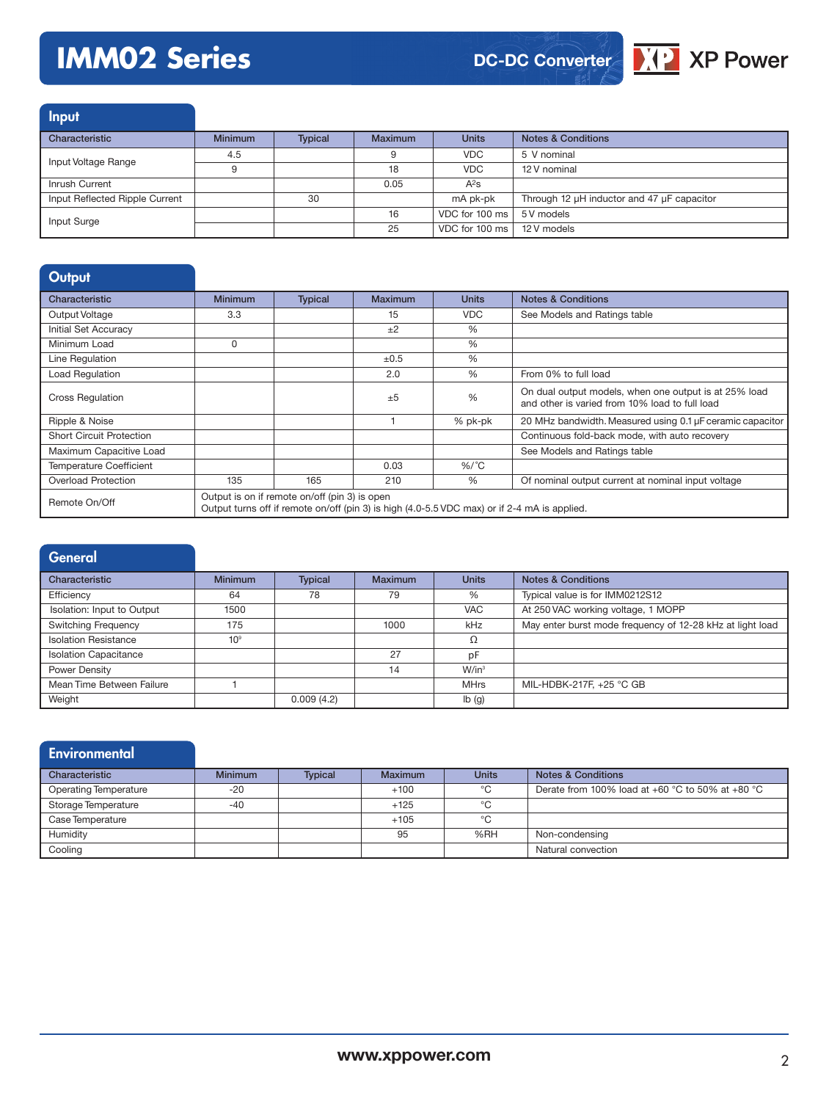# **IMM02 Series**

**DC-DC Converter**



Input Characteristic Minimum | Typical | Maximum | Units | Notes & Conditions Input Voltage Range **4.5** 9 VDC 5 V nominal<br>
9 18 VDC 12 V nominal 12 V nominal Inrush Current **1988** A<sup>2</sup>s Input Reflected Ripple Current 30 mA pk-pk Through 12 µH inductor and 47 µF capacitor Input Surge 16 Contract 2001 Contract 2001 Contract 2001 Contract 2001 Contract 2014 Contract 2016 Contract 201<br>The Contract 2016 Contract 2016 Contract 2016 Contract 2016 Contract 2016 Contract 2016 Contract 2016 Contract 25 VDC for 100 ms 12 V models

| Output                          |                                                                                                                                               |                |           |              |                                                                                                         |  |
|---------------------------------|-----------------------------------------------------------------------------------------------------------------------------------------------|----------------|-----------|--------------|---------------------------------------------------------------------------------------------------------|--|
| Characteristic                  | <b>Minimum</b>                                                                                                                                | <b>Typical</b> | Maximum   | <b>Units</b> | <b>Notes &amp; Conditions</b>                                                                           |  |
| Output Voltage                  | 3.3                                                                                                                                           |                | 15        | <b>VDC</b>   | See Models and Ratings table                                                                            |  |
| Initial Set Accuracy            |                                                                                                                                               |                | $+2$      | $\%$         |                                                                                                         |  |
| Minimum Load                    | $\Omega$                                                                                                                                      |                |           | %            |                                                                                                         |  |
| Line Regulation                 |                                                                                                                                               |                | $\pm 0.5$ | %            |                                                                                                         |  |
| Load Regulation                 |                                                                                                                                               |                | 2.0       | $\%$         | From 0% to full load                                                                                    |  |
| <b>Cross Regulation</b>         |                                                                                                                                               |                | ±5        | %            | On dual output models, when one output is at 25% load<br>and other is varied from 10% load to full load |  |
| Ripple & Noise                  |                                                                                                                                               |                |           | % pk-pk      | 20 MHz bandwidth. Measured using 0.1 µF ceramic capacitor                                               |  |
| <b>Short Circuit Protection</b> |                                                                                                                                               |                |           |              | Continuous fold-back mode, with auto recovery                                                           |  |
| Maximum Capacitive Load         |                                                                                                                                               |                |           |              | See Models and Ratings table                                                                            |  |
| <b>Temperature Coefficient</b>  |                                                                                                                                               |                | 0.03      | $%$ /°C      |                                                                                                         |  |
| Overload Protection             | 135                                                                                                                                           | 165            | 210       | %            | Of nominal output current at nominal input voltage                                                      |  |
| Remote On/Off                   | Output is on if remote on/off (pin 3) is open<br>Output turns off if remote on/off (pin 3) is high (4.0-5.5 VDC max) or if 2-4 mA is applied. |                |           |              |                                                                                                         |  |

| General                      |                 |                |                |              |                                                           |
|------------------------------|-----------------|----------------|----------------|--------------|-----------------------------------------------------------|
| Characteristic               | <b>Minimum</b>  | <b>Typical</b> | <b>Maximum</b> | <b>Units</b> | <b>Notes &amp; Conditions</b>                             |
| Efficiency                   | 64              | 78             | 79             | %            | Typical value is for IMM0212S12                           |
| Isolation: Input to Output   | 1500            |                |                | <b>VAC</b>   | At 250 VAC working voltage, 1 MOPP                        |
| <b>Switching Frequency</b>   | 175             |                | 1000           | kHz          | May enter burst mode frequency of 12-28 kHz at light load |
| <b>Isolation Resistance</b>  | 10 <sup>9</sup> |                |                | Ω            |                                                           |
| <b>Isolation Capacitance</b> |                 |                | 27             | pF           |                                                           |
| Power Density                |                 |                | 14             | $W/in^3$     |                                                           |
| Mean Time Between Failure    |                 |                |                | <b>MHrs</b>  | MIL-HDBK-217F, +25 °C GB                                  |
| Weight                       |                 | 0.009(4.2)     |                | Ib(g)        |                                                           |

| <b>Environmental</b>         |                |                |                |              |                                                  |
|------------------------------|----------------|----------------|----------------|--------------|--------------------------------------------------|
| Characteristic               | <b>Minimum</b> | <b>Typical</b> | <b>Maximum</b> | <b>Units</b> | <b>Notes &amp; Conditions</b>                    |
| <b>Operating Temperature</b> | $-20$          |                | $+100$         | °C           | Derate from 100% load at +60 °C to 50% at +80 °C |
| Storage Temperature          | $-40$          |                | $+125$         | °C           |                                                  |
| Case Temperature             |                |                | $+105$         | °C           |                                                  |
| Humidity                     |                |                | 95             | %RH          | Non-condensing                                   |
| Cooling                      |                |                |                |              | Natural convection                               |